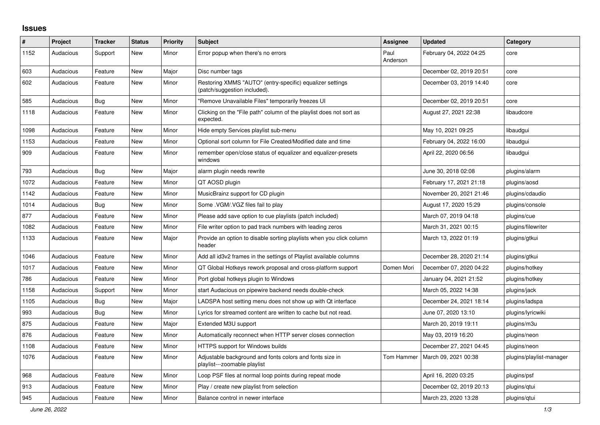## **Issues**

| #    | <b>Project</b> | <b>Tracker</b> | <b>Status</b> | <b>Priority</b> | <b>Subject</b>                                                                            | Assignee         | <b>Updated</b>          | Category                 |
|------|----------------|----------------|---------------|-----------------|-------------------------------------------------------------------------------------------|------------------|-------------------------|--------------------------|
| 1152 | Audacious      | Support        | <b>New</b>    | Minor           | Error popup when there's no errors                                                        | Paul<br>Anderson | February 04, 2022 04:25 | core                     |
| 603  | Audacious      | Feature        | <b>New</b>    | Major           | Disc number tags                                                                          |                  | December 02, 2019 20:51 | core                     |
| 602  | Audacious      | Feature        | <b>New</b>    | Minor           | Restoring XMMS "AUTO" (entry-specific) equalizer settings<br>(patch/suggestion included). |                  | December 03, 2019 14:40 | core                     |
| 585  | Audacious      | Bug            | <b>New</b>    | Minor           | "Remove Unavailable Files" temporarily freezes UI                                         |                  | December 02, 2019 20:51 | core                     |
| 1118 | Audacious      | Feature        | <b>New</b>    | Minor           | Clicking on the "File path" column of the playlist does not sort as<br>expected.          |                  | August 27, 2021 22:38   | libaudcore               |
| 1098 | Audacious      | Feature        | <b>New</b>    | Minor           | Hide empty Services playlist sub-menu                                                     |                  | May 10, 2021 09:25      | libaudgui                |
| 1153 | Audacious      | Feature        | <b>New</b>    | Minor           | Optional sort column for File Created/Modified date and time                              |                  | February 04, 2022 16:00 | libaudgui                |
| 909  | Audacious      | Feature        | <b>New</b>    | Minor           | remember open/close status of equalizer and equalizer-presets<br>windows                  |                  | April 22, 2020 06:56    | libaudgui                |
| 793  | Audacious      | <b>Bug</b>     | <b>New</b>    | Major           | alarm plugin needs rewrite                                                                |                  | June 30, 2018 02:08     | plugins/alarm            |
| 1072 | Audacious      | Feature        | <b>New</b>    | Minor           | QT AOSD plugin                                                                            |                  | February 17, 2021 21:18 | plugins/aosd             |
| 1142 | Audacious      | Feature        | <b>New</b>    | Minor           | MusicBrainz support for CD plugin                                                         |                  | November 20, 2021 21:46 | plugins/cdaudio          |
| 1014 | Audacious      | Bug            | <b>New</b>    | Minor           | Some .VGM/.VGZ files fail to play                                                         |                  | August 17, 2020 15:29   | plugins/console          |
| 877  | Audacious      | Feature        | New           | Minor           | Please add save option to cue playlists (patch included)                                  |                  | March 07, 2019 04:18    | plugins/cue              |
| 1082 | Audacious      | Feature        | <b>New</b>    | Minor           | File writer option to pad track numbers with leading zeros                                |                  | March 31, 2021 00:15    | plugins/filewriter       |
| 1133 | Audacious      | Feature        | <b>New</b>    | Major           | Provide an option to disable sorting playlists when you click column<br>header            |                  | March 13, 2022 01:19    | plugins/gtkui            |
| 1046 | Audacious      | Feature        | <b>New</b>    | Minor           | Add all id3v2 frames in the settings of Playlist available columns                        |                  | December 28, 2020 21:14 | plugins/gtkui            |
| 1017 | Audacious      | Feature        | New           | Minor           | QT Global Hotkeys rework proposal and cross-platform support                              | Domen Mori       | December 07, 2020 04:22 | plugins/hotkey           |
| 786  | Audacious      | Feature        | <b>New</b>    | Minor           | Port global hotkeys plugin to Windows                                                     |                  | January 04, 2021 21:52  | plugins/hotkey           |
| 1158 | Audacious      | Support        | <b>New</b>    | Minor           | start Audacious on pipewire backend needs double-check                                    |                  | March 05, 2022 14:38    | plugins/jack             |
| 1105 | Audacious      | Bug            | <b>New</b>    | Major           | LADSPA host setting menu does not show up with Qt interface                               |                  | December 24, 2021 18:14 | plugins/ladspa           |
| 993  | Audacious      | <b>Bug</b>     | <b>New</b>    | Minor           | Lyrics for streamed content are written to cache but not read.                            |                  | June 07, 2020 13:10     | plugins/lyricwiki        |
| 875  | Audacious      | Feature        | <b>New</b>    | Major           | Extended M3U support                                                                      |                  | March 20, 2019 19:11    | plugins/m3u              |
| 876  | Audacious      | Feature        | <b>New</b>    | Minor           | Automatically reconnect when HTTP server closes connection                                |                  | May 03, 2019 16:20      | plugins/neon             |
| 1108 | Audacious      | Feature        | <b>New</b>    | Minor           | <b>HTTPS support for Windows builds</b>                                                   |                  | December 27, 2021 04:45 | plugins/neon             |
| 1076 | Audacious      | Feature        | <b>New</b>    | Minor           | Adjustable background and fonts colors and fonts size in<br>playlist---zoomable playlist  | Tom Hammer       | March 09, 2021 00:38    | plugins/playlist-manager |
| 968  | Audacious      | Feature        | New           | Minor           | Loop PSF files at normal loop points during repeat mode                                   |                  | April 16, 2020 03:25    | plugins/psf              |
| 913  | Audacious      | Feature        | <b>New</b>    | Minor           | Play / create new playlist from selection                                                 |                  | December 02, 2019 20:13 | plugins/gtui             |
| 945  | Audacious      | Feature        | <b>New</b>    | Minor           | Balance control in newer interface                                                        |                  | March 23, 2020 13:28    | plugins/qtui             |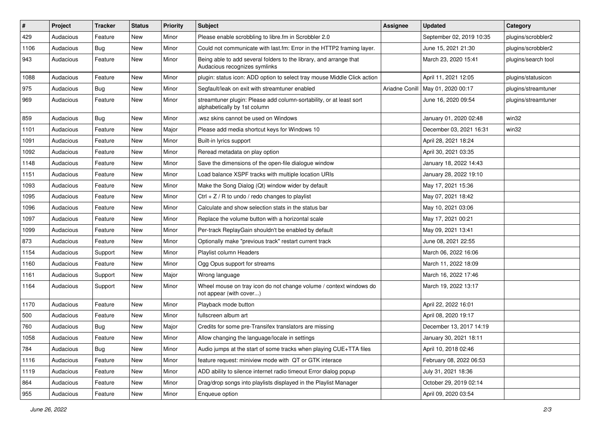| #    | Project   | <b>Tracker</b> | <b>Status</b> | <b>Priority</b> | <b>Subject</b>                                                                                      | <b>Assignee</b> | <b>Updated</b>           | Category            |
|------|-----------|----------------|---------------|-----------------|-----------------------------------------------------------------------------------------------------|-----------------|--------------------------|---------------------|
| 429  | Audacious | Feature        | New           | Minor           | Please enable scrobbling to libre.fm in Scrobbler 2.0                                               |                 | September 02, 2019 10:35 | plugins/scrobbler2  |
| 1106 | Audacious | <b>Bug</b>     | <b>New</b>    | Minor           | Could not communicate with last.fm: Error in the HTTP2 framing layer.                               |                 | June 15, 2021 21:30      | plugins/scrobbler2  |
| 943  | Audacious | Feature        | New           | Minor           | Being able to add several folders to the library, and arrange that<br>Audacious recognizes symlinks |                 | March 23, 2020 15:41     | plugins/search tool |
| 1088 | Audacious | Feature        | <b>New</b>    | Minor           | plugin: status icon: ADD option to select tray mouse Middle Click action                            |                 | April 11, 2021 12:05     | plugins/statusicon  |
| 975  | Audacious | Bug            | New           | Minor           | Segfault/leak on exit with streamtuner enabled                                                      | Ariadne Conill  | May 01, 2020 00:17       | plugins/streamtuner |
| 969  | Audacious | Feature        | New           | Minor           | streamtuner plugin: Please add column-sortability, or at least sort<br>alphabetically by 1st column |                 | June 16, 2020 09:54      | plugins/streamtuner |
| 859  | Audacious | Bug            | New           | Minor           | .wsz skins cannot be used on Windows                                                                |                 | January 01, 2020 02:48   | win32               |
| 1101 | Audacious | Feature        | <b>New</b>    | Major           | Please add media shortcut keys for Windows 10                                                       |                 | December 03, 2021 16:31  | win32               |
| 1091 | Audacious | Feature        | New           | Minor           | Built-in lyrics support                                                                             |                 | April 28, 2021 18:24     |                     |
| 1092 | Audacious | Feature        | New           | Minor           | Reread metadata on play option                                                                      |                 | April 30, 2021 03:35     |                     |
| 1148 | Audacious | Feature        | <b>New</b>    | Minor           | Save the dimensions of the open-file dialogue window                                                |                 | January 18, 2022 14:43   |                     |
| 1151 | Audacious | Feature        | New           | Minor           | Load balance XSPF tracks with multiple location URIs                                                |                 | January 28, 2022 19:10   |                     |
| 1093 | Audacious | Feature        | <b>New</b>    | Minor           | Make the Song Dialog (Qt) window wider by default                                                   |                 | May 17, 2021 15:36       |                     |
| 1095 | Audacious | Feature        | New           | Minor           | Ctrl + $Z$ / R to undo / redo changes to playlist                                                   |                 | May 07, 2021 18:42       |                     |
| 1096 | Audacious | Feature        | New           | Minor           | Calculate and show selection stats in the status bar                                                |                 | May 10, 2021 03:06       |                     |
| 1097 | Audacious | Feature        | New           | Minor           | Replace the volume button with a horizontal scale                                                   |                 | May 17, 2021 00:21       |                     |
| 1099 | Audacious | Feature        | New           | Minor           | Per-track ReplayGain shouldn't be enabled by default                                                |                 | May 09, 2021 13:41       |                     |
| 873  | Audacious | Feature        | New           | Minor           | Optionally make "previous track" restart current track                                              |                 | June 08, 2021 22:55      |                     |
| 1154 | Audacious | Support        | New           | Minor           | Playlist column Headers                                                                             |                 | March 06, 2022 16:06     |                     |
| 1160 | Audacious | Feature        | New           | Minor           | Ogg Opus support for streams                                                                        |                 | March 11, 2022 18:09     |                     |
| 1161 | Audacious | Support        | New           | Major           | Wrong language                                                                                      |                 | March 16, 2022 17:46     |                     |
| 1164 | Audacious | Support        | New           | Minor           | Wheel mouse on tray icon do not change volume / context windows do<br>not appear (with cover)       |                 | March 19, 2022 13:17     |                     |
| 1170 | Audacious | Feature        | New           | Minor           | Playback mode button                                                                                |                 | April 22, 2022 16:01     |                     |
| 500  | Audacious | Feature        | New           | Minor           | fullscreen album art                                                                                |                 | April 08, 2020 19:17     |                     |
| 760  | Audacious | <b>Bug</b>     | New           | Major           | Credits for some pre-Transifex translators are missing                                              |                 | December 13, 2017 14:19  |                     |
| 1058 | Audacious | Feature        | New           | Minor           | Allow changing the language/locale in settings                                                      |                 | January 30, 2021 18:11   |                     |
| 784  | Audacious | Bug            | New           | Minor           | Audio jumps at the start of some tracks when playing CUE+TTA files                                  |                 | April 10, 2018 02:46     |                     |
| 1116 | Audacious | Feature        | New           | Minor           | feature request: miniview mode with QT or GTK interace                                              |                 | February 08, 2022 06:53  |                     |
| 1119 | Audacious | Feature        | New           | Minor           | ADD ability to silence internet radio timeout Error dialog popup                                    |                 | July 31, 2021 18:36      |                     |
| 864  | Audacious | Feature        | New           | Minor           | Drag/drop songs into playlists displayed in the Playlist Manager                                    |                 | October 29, 2019 02:14   |                     |
| 955  | Audacious | Feature        | New           | Minor           | Enqueue option                                                                                      |                 | April 09, 2020 03:54     |                     |